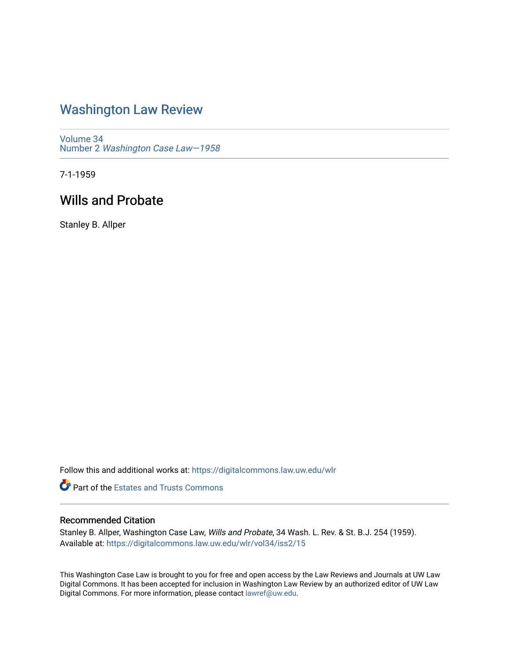## [Washington Law Review](https://digitalcommons.law.uw.edu/wlr)

[Volume 34](https://digitalcommons.law.uw.edu/wlr/vol34) Number 2 [Washington Case Law—1958](https://digitalcommons.law.uw.edu/wlr/vol34/iss2)

7-1-1959

# Wills and Probate

Stanley B. Allper

Follow this and additional works at: [https://digitalcommons.law.uw.edu/wlr](https://digitalcommons.law.uw.edu/wlr?utm_source=digitalcommons.law.uw.edu%2Fwlr%2Fvol34%2Fiss2%2F15&utm_medium=PDF&utm_campaign=PDFCoverPages)

**Part of the Estates and Trusts Commons** 

## Recommended Citation

Stanley B. Allper, Washington Case Law, Wills and Probate, 34 Wash. L. Rev. & St. B.J. 254 (1959). Available at: [https://digitalcommons.law.uw.edu/wlr/vol34/iss2/15](https://digitalcommons.law.uw.edu/wlr/vol34/iss2/15?utm_source=digitalcommons.law.uw.edu%2Fwlr%2Fvol34%2Fiss2%2F15&utm_medium=PDF&utm_campaign=PDFCoverPages) 

This Washington Case Law is brought to you for free and open access by the Law Reviews and Journals at UW Law Digital Commons. It has been accepted for inclusion in Washington Law Review by an authorized editor of UW Law Digital Commons. For more information, please contact [lawref@uw.edu.](mailto:lawref@uw.edu)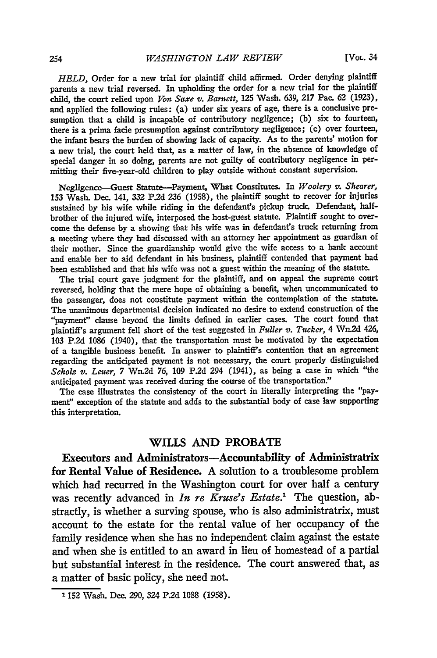[Vol. 34

*HELD,* Order for a new trial for plaintiff child affirmed. Order denying plaintiff parents a new trial reversed. In upholding the order for a new trial for the plaintiff child, the court relied upon *Von Saxe v. Barnett,* **125** Wash. 639, 217 Pac. 62 (1923), and applied the following rules: (a) under six years of age, there is a conclusive presumption that a child is incapable of contributory negligence; (b) six to fourteen, there is a prima facie presumption against contributory negligence; (c) over fourteen, the infant bears the burden of showing lack of capacity. As to the parents' motion for a new trial, the court held that, as a matter of law, in the absence of knowledge of special danger in so doing, parents are not guilty of contributory negligence in perwitting their five-year-old children to play outside without constant supervision.

Negligence-Guest Statute-Payment, What Constitutes. In *Woolery v. Shearer,* **153** Wash. Dec. 141, **332** P.2d **236** (1958), the plaintiff sought to recover for injuries sustained **by** his wife while riding in the defendant's pickup truck. Defendant, halfbrother of the injured wife, interposed the host-guest statute. Plaintiff sought to overcome the defense **by** a showing that his wife was in defendant's truck returning from a meeting where they had discussed with an attorney her appointment as guardian of their mother. Since the guardianship would give the wife access to a bank account and enable her to aid defendant in his business, plaintiff contended that payment had been established and that his wife was not a guest within the meaning of the statute.

The trial court gave judgment for the plaintiff, and on appeal the supreme court reversed, holding that the mere hope of obtaining a benefit, when uncommunicated to the passenger, does not constitute payment within the contemplation of the statute. The unanimous departmental decision indicated no desire to extend construction of the "payment" clause beyond the limits defined in earlier cases. The court found that plaintiff's argument fell short of the test suggested in *Fuller v. Tucker,* 4 Wn.2d 426, **103 P.2d** 1086 (1940), that the transportation must be motivated **by** the expectation of a tangible business benefit. In answer to plaintiff's contention that an agreement regarding the anticipated payment is not necessary, the court properly distinguished *Scholz v. Leuer,* 7 Wn.2d 76, **109** P.2d 294 (1941), as being a case in which "the anticipated payment was received during the course of the transportation."

The case illustrates the consistency of the court in literally interpreting the "payment" exception of the statute and adds to the substantial body of case law supporting this interpretation.

### WILLS **AND** PROBATE

Executors and Administrators-Accountability of Administratrix for Rental Value of Residence. **A** solution to a troublesome problem which had recurred in the Washington court for over half a century was recently advanced in *In re Kruse's Estate.'* The question, abstractly, is whether a surving spouse, who is also administratrix, must account to the estate for the rental value of her occupancy of the family residence when she has no independent claim against the estate and when she is entitled to an award in **lieu** of homestead of a partial but substantial interest in the residence. The court answered that, as a matter of basic policy, she need not.

**<sup>1 152</sup>** Wash. Dec. 290, 324 P.2d 1088 (1958).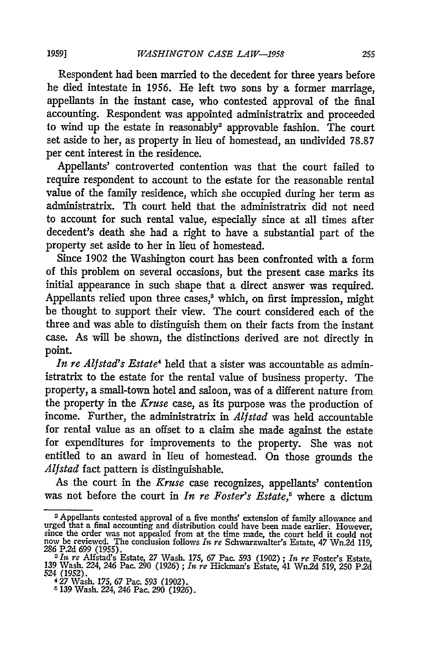Respondent had been married to the decedent for three years before he died intestate in 1956. He left two sons by a former marriage, appellants in the instant case, who contested approval of the final accounting. Respondent was appointed administratrix and proceeded to wind up the estate in reasonably2 approvable fashion. The court set aside to her, as property in lieu of homestead, an undivided 78.87 per cent interest in the residence.

Appellants' controverted contention was that the court failed to require respondent to account to the estate for the reasonable rental value of the family residence, which she occupied during her term as administratrix. Th court held that the administratrix did not need to account for such rental value, especially since at all times after decedent's death she had a right to have a substantial part of the property set aside to her in lieu of homestead.

Since 1902 the Washington court has been confronted with a form of this problem on several occasions, but the present case marks its initial appearance in such shape that a direct answer was required. Appellants relied upon three cases,<sup>3</sup> which, on first impression, might be thought to support their view. The court considered each of the three and was able to distinguish them on their facts from the instant case. As will be shown, the distinctions derived are not directly in point.

*In re Alfstad's Estate4* held that a sister was accountable as administratrix to the estate for the rental value of business property. The property, a small-town hotel and saloon, was of a different nature from the property in the *Kruse* case, as its purpose was the production of income. Further, the administratrix in *Alfstad* was held accountable for rental value as an offset to a claim she made against the estate for expenditures for improvements to the property. She was not entitled to an award in lieu of homestead. On those grounds the *Alfstad* fact pattern is distinguishable.

As the court in the *Kruse* case recognizes, appellants' contention was not before the court in *In re Foster's Estate*,<sup>5</sup> where a dictum

<sup>2</sup> Appellants contested approval of a five months' extension of family allowance and urged that a final accounting and distribution could have been made earlier. However, since the order was not appealed from at the time made, the court held it could not now be reviewed. The conclusion follows *In* re Schwarzwalter's Estate, 47 Wn.2d 119, **286 P.2d** 699 (1955).

*<sup>3</sup> It* re Alfstad's Estate, **27** Wash. 175, 67 Pac. 593 (1902) ; *In re* Foster's Estate, 139 Wash. 224, 246 Pac. **290** (1926) ; *In re* Hickman's Estate, 41 Wn2d 519, **250 P.2d** 524 (1952). 4 27 Wash. 175, 67 Pac. 593 (1902).

*<sup>6</sup>* 139 Wash. 224, *246* Pac. **290** (1926).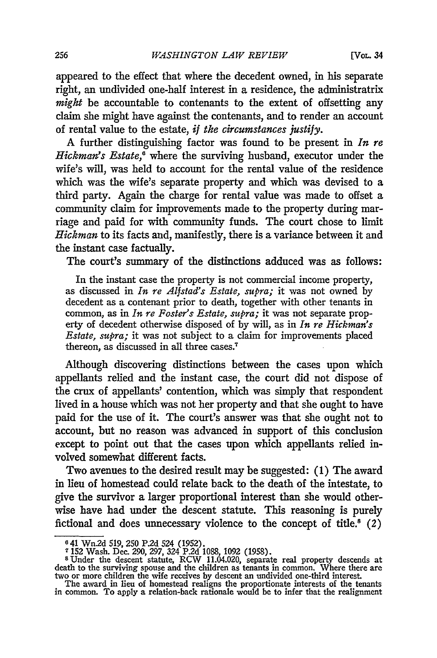appeared to the effect that where the decedent owned, in his separate right, an undivided one-half interest in a residence, the administratrix *might* be accountable to contenants to the extent of offsetting any claim she might have against the contenants, and to render an account of rental value to the estate, *if the circumstances justify.*

A further distinguishing factor was found to be present in *In re Hickman's Estate,'* where the surviving husband, executor under the wife's will, was held to account for the rental value of the residence which was the wife's separate property and which was devised to a third party. Again the charge for rental value was made to offset a community claim for improvements made to the property during marriage and paid for with community funds. The court chose to limit *Hickman* to its facts and, manifestly, there is a variance between it and the instant case factually.

The court's summary of the distinctions adduced was as follows:

In the instant case the property is not commercial income property, as discussed in *In re Alfstad's Estate, supra;* it was not owned by decedent as a contenant prior to death, together with other tenants in common, as in *In re Foster's Estate, supra;* it was not separate property of decedent otherwise disposed of **by** will, as in *In re Hickman's Estate, supra;* it was not subject to a claim for improvements placed thereon, as discussed in all three cases.7

Although discovering distinctions between the cases upon which appellants relied and the instant case, the court did not dispose of the crux of appellants' contention, which was simply that respondent lived in a house which was not her property and that she ought to have paid for the use of it. The court's answer was that she ought not to account, but no reason was advanced in support of this conclusion except to point out that the cases upon which appellants relied involved somewhat different facts.

Two avenues to the desired result may be suggested: (1) The award in lieu of homestead could relate back to the death of the intestate, to give the survivor a larger proportional interest than she would otherwise have had under the descent statute. This reasoning is purely fictional and does unnecessary violence to the concept of title.<sup>8</sup>  $(2)$ 

<sup>6 41</sup> Wn2d 519, **250 P.2d** 524 (1952).

**<sup>7 152</sup>** Wash. Dec. 290, 297, 324 P.2d 1088, 1092 (1958).

<sup>&</sup>lt;sup>8</sup> Under the descent statute, RCW 11.04.020, separate real property descends at death to the surviving spouse and the children as tenants in common. Where there are two or more children the wife receives by descent an und

The award in lieu of homestead realigns the proportionate interests of the tenants in common. To apply a relation-back rationale would be to infer that the realignment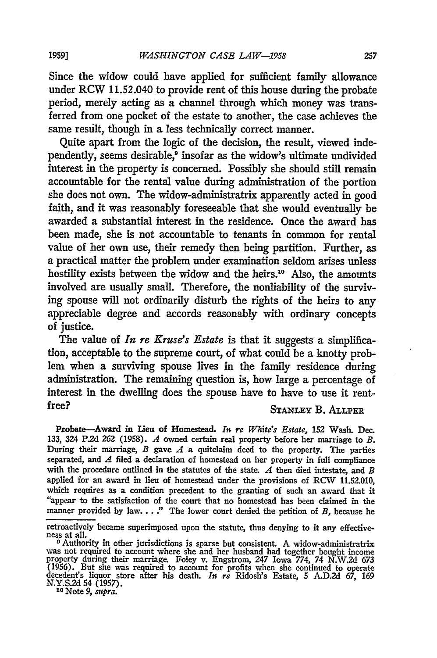Since the widow could have applied for sufficient family allowance under RCW 11.52.040 to provide rent of this house during the probate period, merely acting as a channel through which money was transferred from one pocket of the estate to another, the case achieves the same result, though in a less technically correct manner.

Quite apart from the logic of the decision, the result, viewed independently, seems desirable,<sup>9</sup> insofar as the widow's ultimate undivided interest in the property is concerned. Possibly she should still remain accountable for the rental value during administration of the portion she does not own. The widow-administratrix apparently acted in good faith, and it was reasonably foreseeable that she would eventually be awarded a substantial interest in the residence. Once the award has been made, she is not accountable to tenants in common for rental value of her own use, their remedy then being partition. Further, as a practical matter the problem under examination seldom arises unless hostility exists between the widow and the heirs."° Also, the amounts involved are usually small. Therefore, the nonliability of the surviving spouse will not ordinarily disturb the rights of the heirs to any appreciable degree and accords reasonably with ordinary concepts of justice.

The value of *In re Kruse's Estate* is that it suggests a simplification, acceptable to the supreme court, of what could be a knotty prob**lem** when a surviving spouse lives in the family residence during administration. The remaining question is, how large a percentage of interest in the dwelling does the spouse have to have to use it rentfree? **STANLEY** B. **ALLPER**

Probate-Award in Lieu of Homestead. *In re White's Estate,* **152** Wash. Dec. 133, 324 **P.2d 262 (1958).** *A* owned certain real property before her marriage to *B.* During their marriage, *B* gave *A* a quitclaim deed to the property. The parties separated, and *A* filed a declaration of homestead on her property in full compliance with the procedure outlined in the statutes of the state. *A* then died intestate, and *B* applied for an award in lieu of homestead under the provisions of **RCW 11.52.010,** which requires as a condition precedent to the granting of such an award that it "appear to the satisfaction of the court that no homestead has been claimed in the manner provided by law... **"** The lower court denied the petition of *B,* because he

retroactively became superimposed upon the statute, thus denying to it any effective- ness at all.

<sup>&</sup>lt;sup>9</sup> Authority in other jurisdictions is sparse but consistent. A widow-administratrix<br>was not required to account where she and her husband had together bought income<br>property during their marriage. Folev v. Engstrom. 247 (1956). But she was required to account for profits when she continued to operate decedent's liquor store after his death. *In re* Ridosh's Estate, 5 A.D.2d *67,* <sup>169</sup> **N.Y.S.2d** 54 **(1957). <sup>10</sup>**Note *9, supra.*